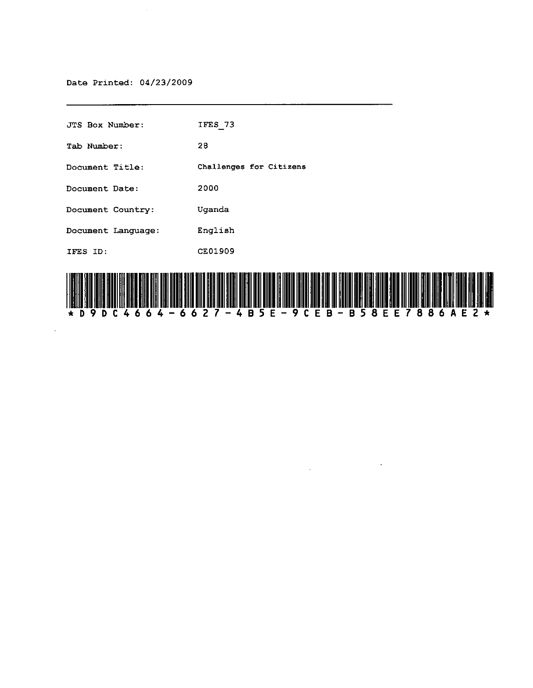$\bar{z}$ 

JTS **Box Number:** lFES 73 Tab Number: 28 **Document** Title: **Challenges for Citizens Document** Date: 2000 **Document** Country: Uganda **Document Language:** English IFES ID: CE01909



 $\mathcal{L}_{\rm{max}}$ 

 $\hat{\mathbf{z}}$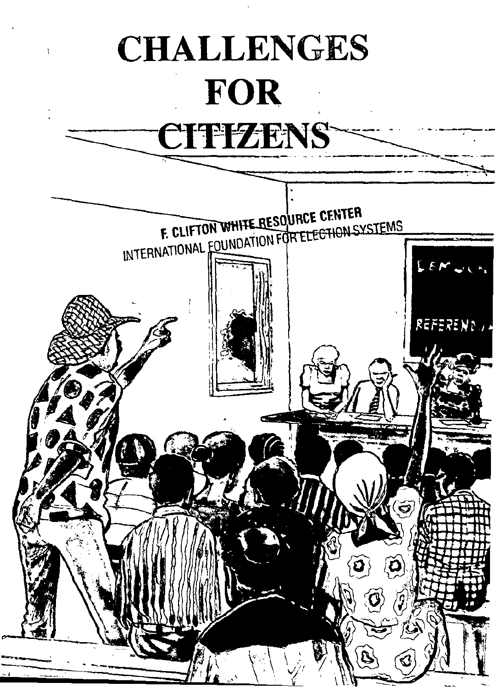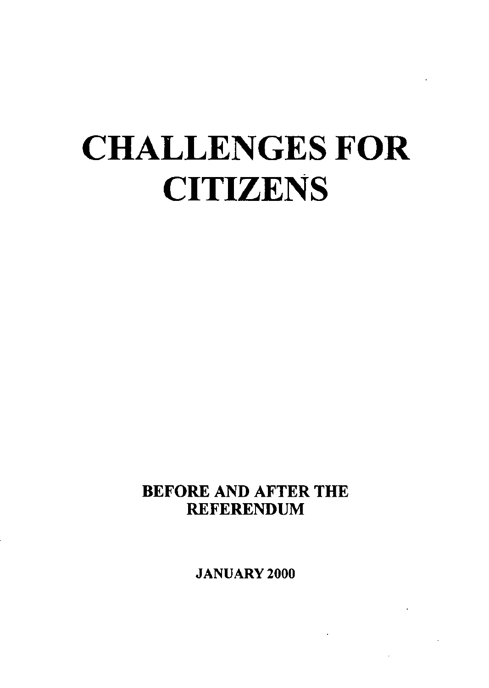# CHALLENGES FOR **CITIZENS**

### BEFORE AND AFTER THE **REFERENDUM**

JANUARY 2000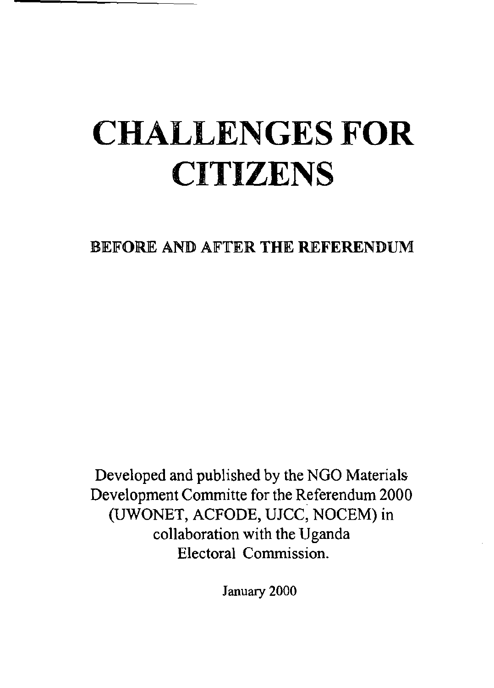## CHALLENGES FOR **CITIZENS**

BEFORE AND AFTER THE REFERENDUM

Developed and published by the NGO Materials Development Committe for the Referendum 2000 (UWONET, ACFODE, UJCC, NOCEM) in collaboration with the Uganda Electoral Commission.

January 2000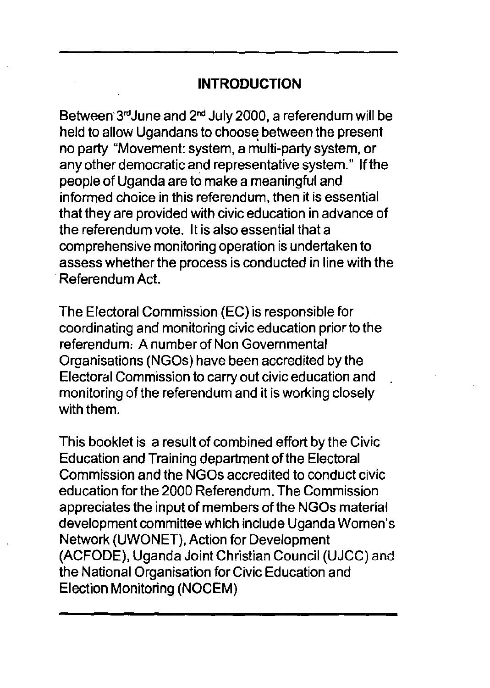### **INTRODUCTION**

Between 3<sup>rd</sup> June and 2<sup>nd</sup> July 2000, a referendum will be held to allow Ugandans to choose between the present no party "Movement: system, a multi-party system, or any other democratic and representative system." If the people of Uganda are to make a meaningful and informed choice in this referendum, then it is essential that they are provided with civic education in advance of the referendum vote. It is also essential that a comprehensive monitoring operation is undertaken to assess whether the process is conducted in line with the Referendum Act.

The Electoral Commission (EC) is responsible for coordinating and monitoring civic education prior to the referendum: A number of Non Govemmental Organisations (NGOs) have been accredited by the Electoral Commission to carry out civic education and monitoring of the referendum and it is working closely with them.

This booklet is a result of combined effort by the Civic Education and Training department of the Electoral Commission and the NGOs accredited to conduct civic education for the 2000 Referendum. The Commission appreciates the input of members of the NGOs material development committee which include Uganda Women's Network (UWONET), Action for Development (ACFODE), Uganda Joint Christian Council (UJCC) and the National Organisation for Civic Education and Election Monitoring (NOCEM)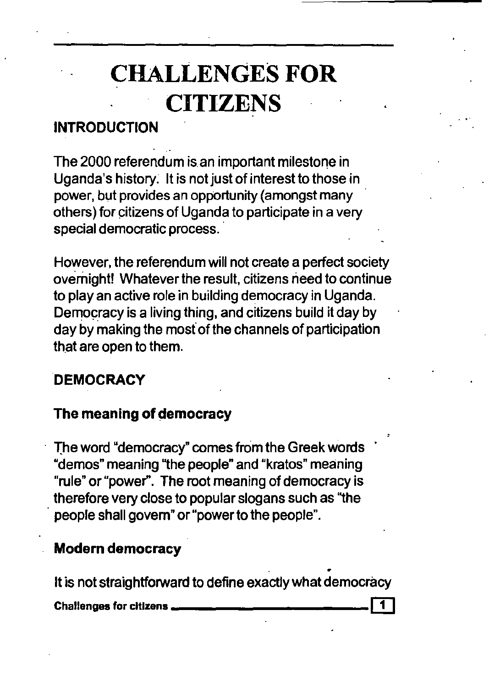## CHALLENGES FOR **CITIZENS**

### INTRODUCTION

The 2000 referendum is an important milestone in Uganda's history. It is not just of interest to those in power, but provides an opportunity (amongst many others) for citizens of Uganda to participate in a very special democratic process.

However, the referendum will not create a perfect society overnight! Whatever the result, citizens need to continue to play an active role in building democracy in Uganda. Democracy is a living thing, and citizens build it day by day by making the most of the channels of participation that are open to them.

### DEMOCRACY

### The meaning of democracy

The word "democracy" comes from the Greek words "demos" meaning "the people" and "kratos" meaning "rule" or "power". The root meaning of democracy is therefore very close to popular slogans such as ''the . people shall govem" or "power to the people".

### Modem democracy

It is not straightforward to define exactly what democracy

Challenges for citizens

$$
\overline{\mathbf{1}}
$$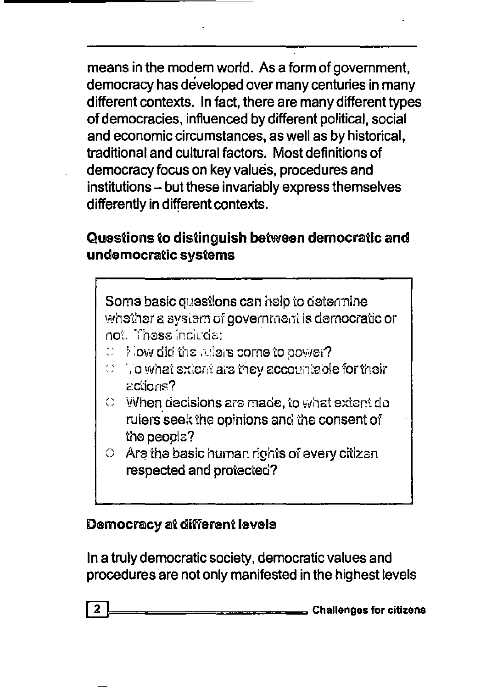means in the modern world. As a form of government, democracy has developed over many centuries in many different contexts. In fact, there are many different types of democracies, influenced by different political, social and economic circumstances, as well as by historical, traditional and cultural factors. Most definitions of democracy focus on key values, procedures and institutions - but these invariably express themselves differently in different contexts.

### Quesiions io disiinguish beiween democrsiic and undemocrsiic systems

Some basic questions can help to determine whather a system of government is democratic or not. These inciude:

- $\circ$  1- Fiow did the rulars corne to power?
- $\heartsuit$  . To what swent are they accountable for their actions?
- $\heartsuit$  When decisions are made, to what extent do rulers seek the opinions and the consent of the peopla?
- $\circ$  Are the basic human rights of every citizen respected and protected?

### Democracy at different levels

In a truly democratic society, democratic values and procedures are not only manifested in the highest levels

Challenges for citizens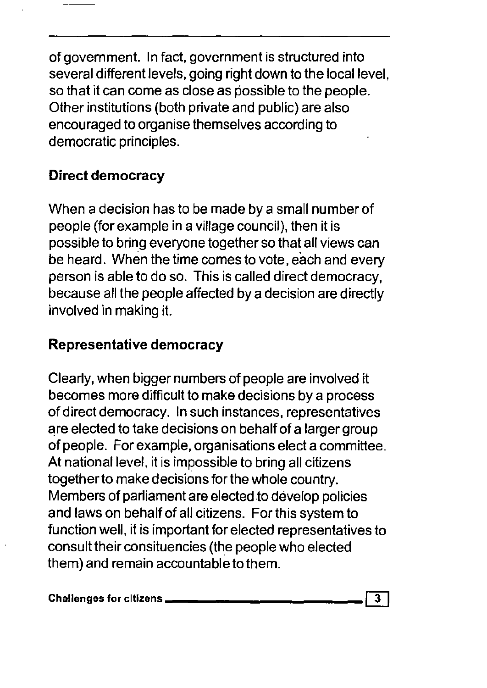of government. In fact, government is structured into several different levels, going right down to the local level, so that it can come as close as possible to the people. Other institutions (both private and public) are also encouraged to organise themselves according to democratic principles.

### **Direct democracy**

When a decision has to be made by a small number of people (for example in a village council), then it is possible to bring everyone together so that all views can be heard. When the time comes to vote, each and every person is able to do so. This is called direct democracy, because all the people affected by a decision are directly involved in making it.

### **Representative democracy**

Clearly, when bigger numbers of people are involved it becomes more difficult to make decisions by a process of direct democracy. In such instances, representatives are elected to take decisions on behalf of a larger group of people. For example, organisations elect a committee. At national level, it is impossible to bring all citizens together to make decisions for the whole country. Members of parliament are elected.to develop policies and laws on behalf of all citizens. Forthis system to function well, it is important for elected representatives to consult their consituencies (the people who elected them) and remain accountable to them.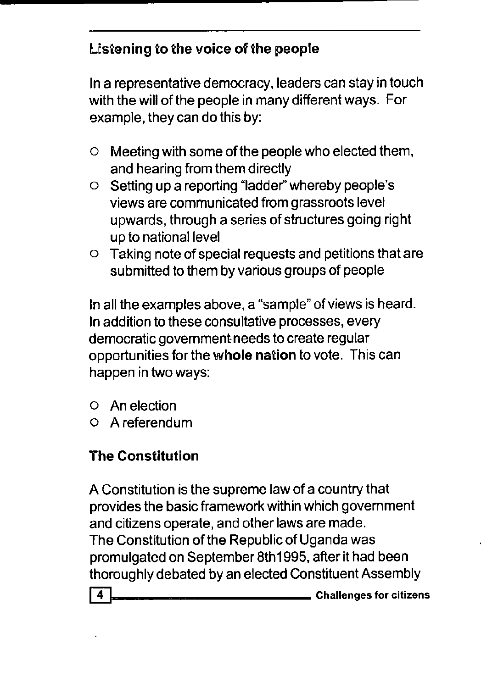### Listening to the voice of the people

In a representative democracy, leaders can stay in touch with the will of the people in many different ways. For example, they can do this by:

- o Meeting with some of the people who elected them, and hearing from them directly
- o Setting up a reporting "ladder" whereby people's views are communicated from grassroots level upwards, through a series of structures going right up to national level
- o Taking note of special requests and petitions that are submitted to them by various groups of people

In all the examples above, a "sample" of views is heard. In addition to these consultative processes, every democratic government needs to create regular opportunities for the whole nation to vote. This can happen in two ways:

- o An election
- o A referendum

### The Constitution

A Constitution is the supreme law of a country that provides the basic framework within which government and citizens operate, and other laws are made. The Constitution of the Republic of Uganda was promulgated on September 8th1995, after it had been thoroughly debated by an elected Constituent Assembly m Challenges for citizens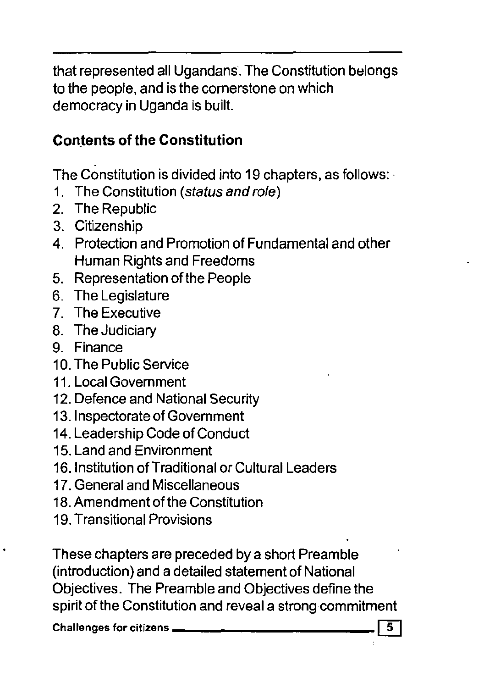that represented all Ugandans. The Constitution belongs to the people, and is the cornerstone on which democracy in Uganda is built.

### **Contents of the Constitution**

The Constitution is divided into 19 chapters, as follows: .

- 1. The Constitution (status and role)
- 2. The Republic
- 3. Citizenship
- 4. Protection and Promotion of Fundamental and other Human Rights and Freedoms
- 5. Representation of the People
- 6. The Legislature
- 7. The Executive
- 8. The Judiciary
- 9. Finance
- 10. The Public Service
- 11. Local Government
- 12. Defence and National Security
- 13. Inspectorate of Government
- 14. Leadership Code of Conduct
- 15. Land and Environment
- 16. Institution of Traditional or Cultural Leaders
- 17. General and Miscellaneous
- 18. Amendment of the Constitution
- 19. Transitional Provisions

These chapters are preceded by a short Preamble (introduction) and a detailed statement of National Objectives. The Preamble and Objectives define the spirit of the Constitution and reveal a strong commitment

Challenges for citizens  $\equiv$ 

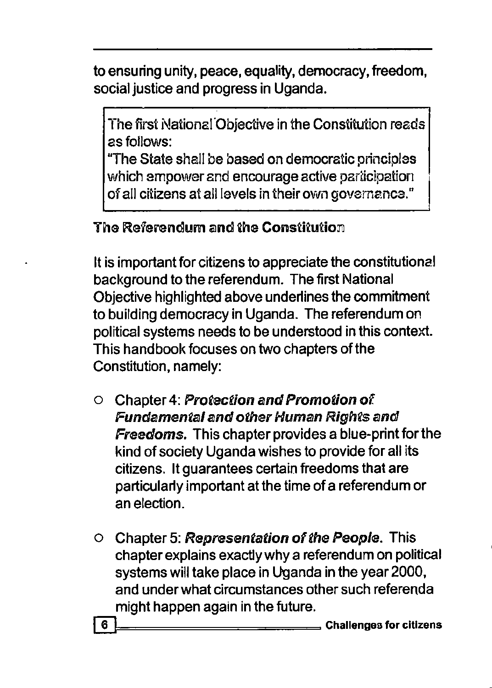to ensuring unity, peace, equality, democracy, freedom, social justice and progress in Uganda.

The first Nationsl "Objective in the Constitution reads as follows:

"The State shall be based on democratic principles which empower and encourage active pariicipation of all citizens at all levels in their own governance."

### The Referendum and the Constitution

It is important for citizens to appreciate the constitutional background to the referendum. The first National Objective highlighted above underlines the commitment to building democracy in Uganda. The referendum on political systems needs to be understood in this context. This handbook focuses on two chapters of the Constitution, namely:

- $\circ$  Chapter 4: Protection and Promotion of Fundamental and other Human Rights and Freedoms. This chapter provides a blue-print for the kind of society Uganda wishes to provide for all its citizens. It guarantees certain freedoms that are particularly important at the time of a referendum or an election.
- $\circ$  Chapter 5: Representation of the People. This chapter explains exactly why a referendum on political systems will take place in Uganda in the year 2000, and under what circumstances other such referenda might happen again in the future.<br> **6** Challenges for citizens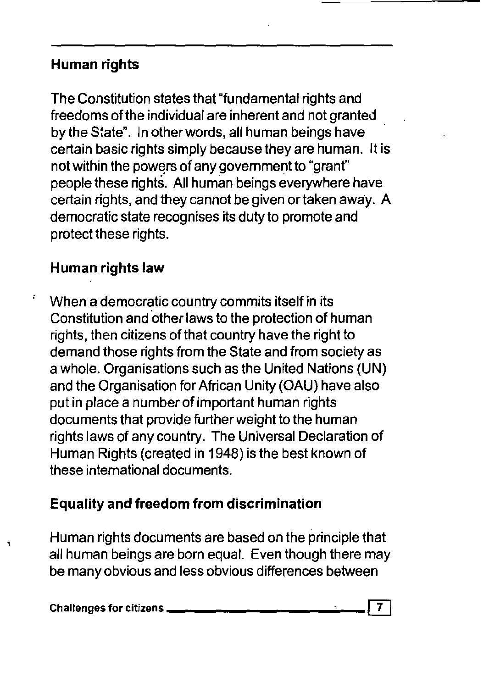### **Human rights**

The Constitution states that "fundamental rights and freedoms of the individual are inherent and not granted by the State". In other words, all human beings have certain basic rights simply because they are human. It is not within the powers of any government to "grant" people these rights. All human beings everywhere have certain rights, and they cannot be given ortaken away. A democratic state recognises its duty to promote and protect these rights.

### **Human rights law**

ï

When a democratic country commits itself in its Constitution and other laws to the protection of human rights, then citizens of that country have the right to demand those rights from the State and from society as a whole. Organisations such as the United Nations (UN) and the Organisation for African Unity (OAU) have also put in place a number of important human rights documents that provide further weight to the human rights laws of any country. The Universal Declaration of Human Rights (created in 1948) is the best known of these intemational documents.

### **Equality and freedom from discrimination**

Human rights documents are based on the principle that all human beings are born equal. Even though there may be many obvious and less obvious differences between

Challenges for citizens  $\_\_$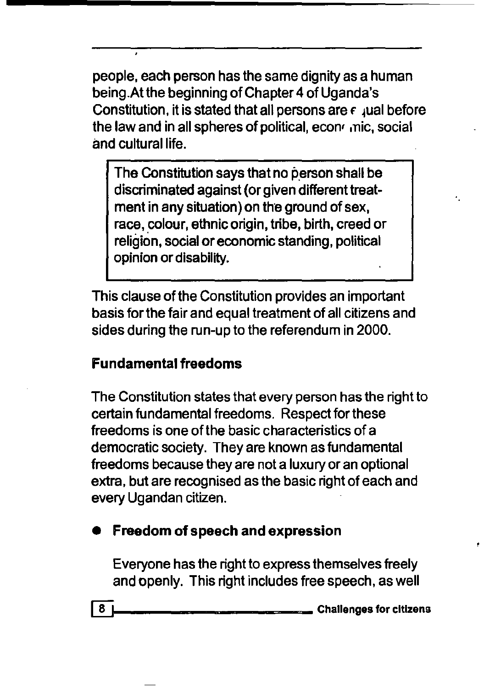people, each person has the same dignity as a human being.At the beginning of Chapter 4 of Uganda's Constitution, it is stated that all persons are  $\epsilon$  jual before the law and in all spheres of political, econ' ,nic, social and cultural life.

The Constitution says that no person shall be discriminated against (or given different treatment in any situation) on the ground of sex, race, colour, ethnic origin, tribe, birth, creed or religion, social or economic standing, political opinion or disability.

This clause of the Constitution provides an important basis for the fair and equal treatment of all citizens and sides during the run-up to the referendum in 2000.

### Fundamental freedoms

The Constitution states that every person has the right to certain fundamental freedoms. Respect for these freedoms is one ofthe basic characteristics of a democratic society. They are known as fundamental freedoms because they are not a luxury or an optional extra, but are recognised as the basic right of each and every Ugandan citizen.

### • Freedom of speech and expression

Everyone has the right to express themselves freely and openly. This right includes free speech, as well

8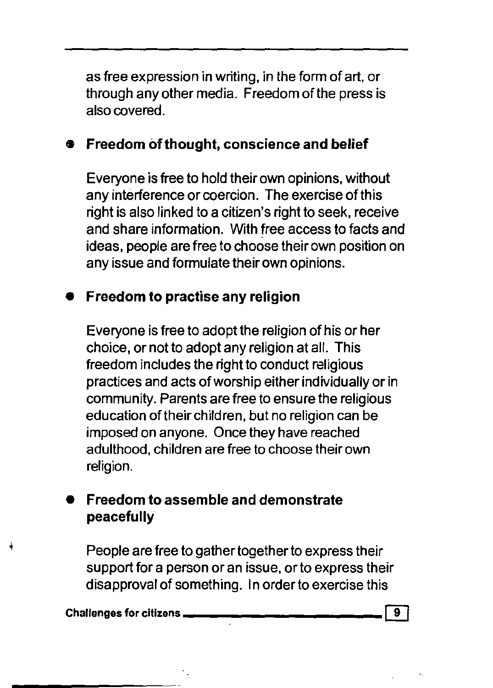as free expression in writing, in the form of art, or through any other media. Freedom of the press is also covered.

### • Freedom ofthought, conscience and belief

Everyone is free to hold their own opinions, without any interference or coercion. The exercise of this right is also linked to a citizen's right to seek, receive and share information. With free access to facts and ideas, people are free to choose their own position on any issue and formulate their own opinions.

### • Freedom to practise any religion

Everyone is free to adopt the religion of his or her choice, or not to adopt any religion at all. This freedom includes the right to conduct religious practices and acts of worship either individually or in community. Parents are free to ensure the religious education of their children, but no religion can be imposed on anyone. Once they have reached adulthood, children are free to choose their own religion.

### • Freedom to assemble and demonstrate peacefully

People are free to gather together to express their support for a person or an issue, or to express their disapproval of something. In order to exercise this

#### Challenges for citizens **\_\_\_\_\_\_\_\_\_\_\_\_ [!]**

4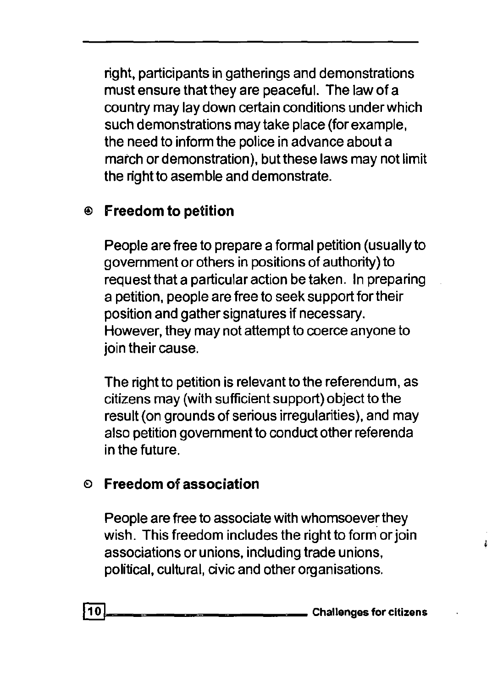right, participants in gatherings and demonstrations must ensure that they are peaceful. The law of a country may lay down certain conditions under which such demonstrations may take place (for example, the need to inform the police in advance about a march or demonstration), but these laws may not limit the right to asemble and demonstrate.

### ® **Freedom to** petition

People are free to prepare a formal petition (usually to government or others in positions of authority) to request that a particular action be taken. In preparing a petition, people are free to seek support for their position and gather signatures if necessary. However, they may not attempt to coerce anyone to join their cause.

The right to petition is relevant to the referendum, as citizens may (with sufficient support) object to the result (on grounds of serious irregularities), and may also petition government to conduct other referenda in the future.

### IE) **Freedom** of association

People are free to associate with whomsoever they wish. This freedom includes the right to form or join associations or unions, including trade unions, political, cultural, civic and other organisations.

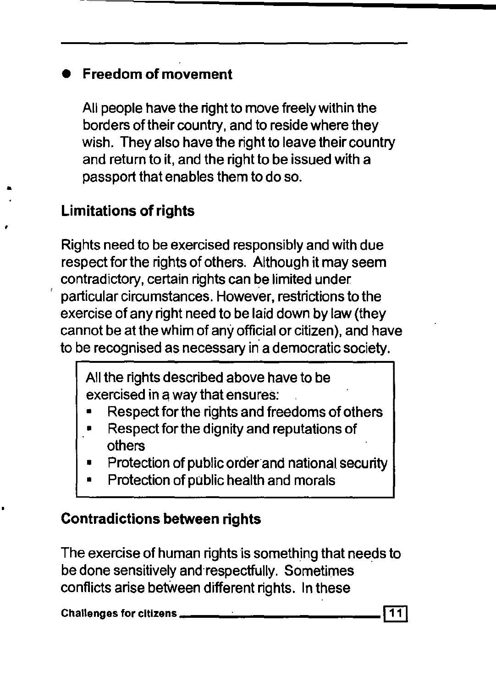### **• Freedom of movement**

All people have the right to move freely within the borders of their country, and to reside where they wish. They also have the right to leave their country and return to it, and the right to be issued with a passport that enables them to do so.

### **Limitations of rights**

•

Rights need to be exercised responsibly and with due respect for the rights of others. Although it may seem contradictory, certain rights can be limited under particular circumstances. However, restrictions to the exercise of any right need to be laid down by law (they cannot be at the whim of any official or citizen), and have to be recognised as necessary in a democratic society.

All the rights described above have to be exercised in a way that ensures:

- Respect for the rights and freedoms of others
- Respect for the dignity and reputations of others
- Protection of public order and national security
- Protection of public health and morals

### **Contradictions between rights**

The exercise of human rights is something that needs to be done sensitively and· respectfully. Sometimes conflicts arise betWeen different rights. In these

 $\Box$  Challenges for citizens  $\Box$  ,  $\Box$  ,  $\Box$  ,  $\Box$  ,  $\Box$  ,  $\Box$  | 11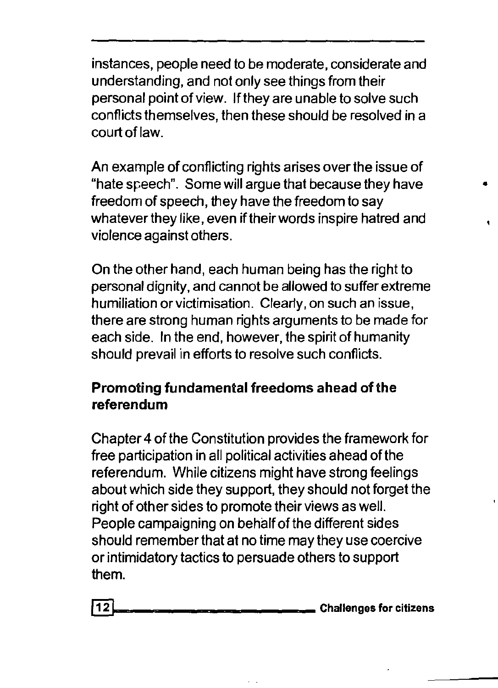instances, people need to be moderate, considerate and understanding, and not only see things from their personal point of view. If they are unable to solve such conflicts themselves, then these should be resolved in a court oflaw.

An example of conflicting rights arises over the issue of "hate speech". Some will argue that because they have • freedom of speech, they have the freedom to say whatever they like, even if their words inspire hatred and violence against others.

On the other hand, each human being has the right to personal dignity, and cannot be allowed to suffer extreme humiliation or victimisation. Clearly, on such an issue, there are strong human rights arguments to be made for each side. In the end, however, the spirit of humanity should prevail in efforts to resolve such conflicts.

### Promoting fundamental freedoms ahead of the referendum

Chapter 4 of the Constitution provides the framework for free participation in all political activities ahead of the referendum. While citizens might have strong feelings about which side they support, they should not forget the right of other sides to promote their views as well. People campaigning on behalf of the different sides should remember that at no time may they use coercive or intimidatory tactics to persuade others to support them.

**@1 \_\_\_\_\_\_\_\_\_\_\_\_ Challengesforcitizens**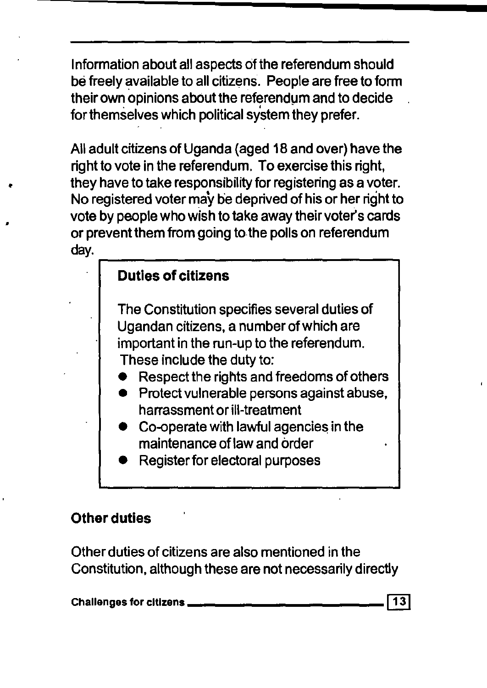Information about all aspects of the referendum should be freely available to all citizens. People are free to form their own opinions about the referendum and to decide . for themselves which political system they prefer.

All adult citizens of Uganda (aged 18 and over) have the right to vote in the referendum. To exercise this right, they have to take responsibility for registering as a voter . No registered voter may be deprived of his or her right to vote by people who wish to take away their voter's cards or prevent them from going to the polls on referendum day.

### **Duties of citizens**

The Constitution specifies several duties of Ugandan citizens, a number of which are important in the run-up to the referendum. These include the duty to:

- Respect the rights and freedoms of others
- Protect vulnerable persons against abuse, harrassment or ill-treatment
- Co-operate with lawful agencies in the maintenance oflaw and order
- Register for electoral purposes

### **Other duties**

•

Other duties of citizens are also mentioned in the Constitution, although these are not necessarily directly

Challenges for citizens **\_\_\_\_\_\_\_\_\_\_\_ [!!]**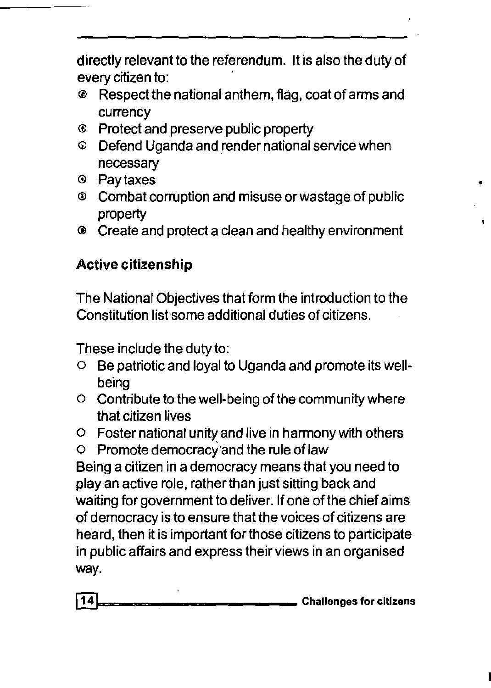directly relevant to the referendum. It is also the duty of every citizen to:

- @ Respectthe national anthem, flag, coat of arms and currency
- ® Protect and preserve public property
- $\circ$  Defend Uganda and render national service when necessary
- e Pay taxes
- (i) Combat corruption and misuse or wastage of public property

•

@ Create and protect a clean and healthy environment

### Active **citizenship**

The National Objectives that form the introduction to the Constitution list some additional duties of citizens.

These include the duty to:

- o Be patriotic and loyal to Uganda and promote its wellbeing
- o Contribute to the well-being of the community where that citizen lives
- o Foster national unity and live in harmony with others
- o Promote democracY·and the rule of law

Being a citizen in a democracy means that you need to play an active role, rather than just sitting back and waiting for government to deliver. If one of the chief aims of democracy is to ensure that the voices of citizens are heard, then it is important for those citizens to participate in public affairs and express their views in an organised way.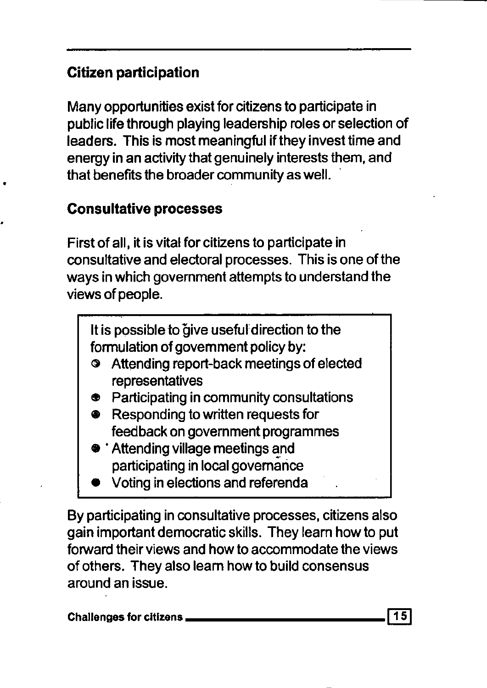### Citizen participation

Many opportunities exist for citizens to participate in public life through playing leadership roles or selection of leaders. This is most meaningful if they invest time and energy in an activity that genuinely interests them, and that benefits the broader community as well.

### Consultative processes

•

First of all, it is vital for citizens to participate in consultative and electoral processes. This is one of the ways in which govemment attempts to understand the views of people.

It is possible to give useful direction to the formulation of govemment policy by:

- C!) Attending report-back meetings of elected representatives
- Participating in community consultations
- **•** Responding to written requests for feedback on government programmes
- Attending village meetings and participating in local governance
- Voting in elections and referenda

By participating in consultative processes, citizens also gain important democratic skills. They leam how to put forward their views and how to accommodate the views of others. They also leam how to build consensus around an issue.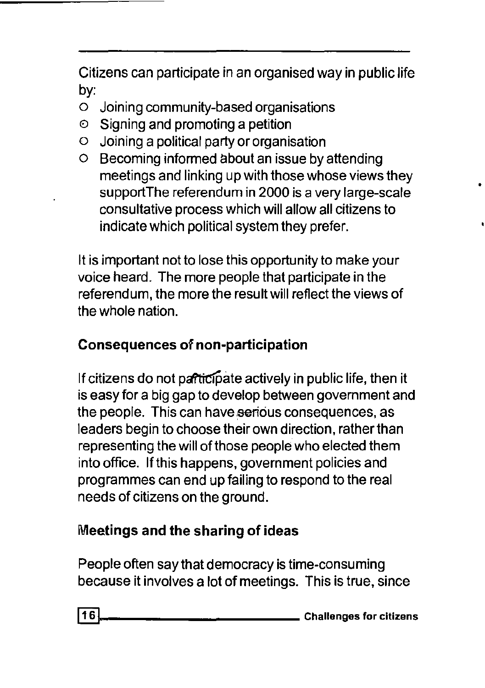Citizens can participate in an organised way in public life by:

- o Joining community-based organisations
- $\odot$  Signing and promoting a petition
- $\circ$  Joining a political party or organisation
- o Becoming informed about an issue by attending meetings and linking up with those whose views they supportThe referendum in 2000 is a very large-scale consultative process which will allow all citizens to indicate which political system they prefer.

It is important not to lose this opportunity to make your voice heard. The more people that participate in the referendum, the more the result will reflect the views of the whole nation.

### Consequences of non-participation

If citizens do not participate actively in public life, then it is easy for a big gap to develop between govemment and the people. This can have serious consequences, as leaders begin to choose their own direction, rather than representing the will of those people who elected them into office. If this happens, government policies and programmes can end up failing to respond to the real needs of citizens on the ground.

### Meetings and the sharing of ideas

People often say that democracy is time-consuming because it involves a lot of meetings. This is true, since

16 Challenges for citizens

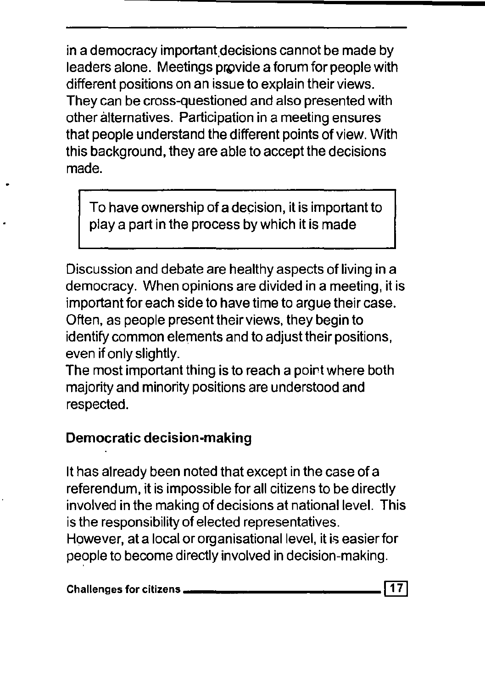in a democracy important.decisions cannot be made by leaders alone. Meetings provide a forum for people with different positions on an issue to explain their views. They can be cross-questioned and also presented with other alternatives. Participation in a meeting ensures that people understand the different points of view. With this background, they are able to accept the decisions made.

To have ownership of a decision, it is important to playa part in the process by which it is made

Discussion and debate are healthy aspects of living in a democracy. When opinions are divided in a meeting, it is important for each side to have time to argue their case. Often, as people present their views, they begin to identify common elements and to adjust their positions, even if only slightly.

The most important thing is to reach a poirt where both majority and minority positions are understood and respected.

### Democratic decision-making

It has already been noted that except in the case of a referendum, it is impossible for all citizens to be directly involved in the making of decisions at national level. This is the responsibility of elected representatives. However, at a local or organisational level, it is easier for people to become directly involved in decision-making. Challenges for citizens **--\_\_\_\_\_\_\_\_\_\_ [IT]**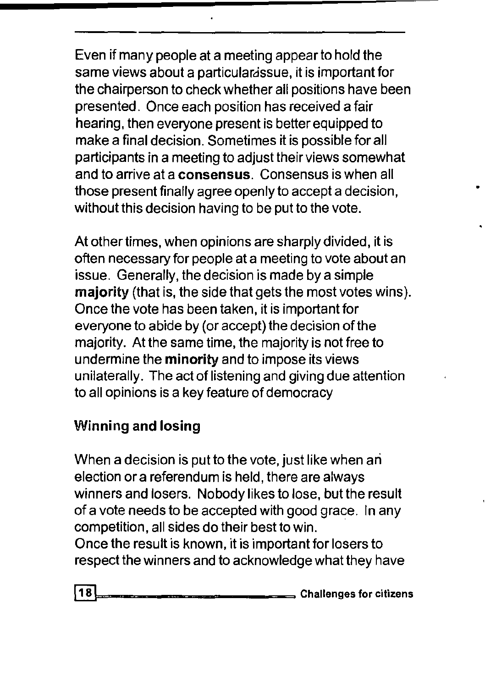Even if many people at a meeting appear to hold the same views about a particular is a substitution in portant for the chairperson to check whether all positions have been presented. Once each position has received a fair hearing, then everyone present is better equipped to make a final decision. Sometimes it is possible for all participants in a meeting to adjust their views somewhat and to arrive at a consensus. Consensus is when all those present finally agree openly to accept a decision, without this decision having to be put to the vote.

At other times, when opinions are sharply divided, it is often necessary for people at a meeting to vote about an issue. Generally, the decision is made by a simple majority (that is, the side that gets the most votes wins). Once the vote has been taken, it is important for everyone to abide by (or accept) the decision of the majority. At the same time, the majority is not free to undermine the minority and to impose its views unilaterally. The act of listening and giving due attention to all opinions is a key feature of democracy

### Winning **and** losing

When a decision is put to the vote, just like when an election or a referendum is held, there are always winners and losers. Nobody likes to lose, but the result of a vote needs to be accepted with good grace. In any competition, all sides do their best to win. Once the result is known, it is important for losers to respect the winners and to acknowledge what they have

18 **Intervention of the Challenges for citizens**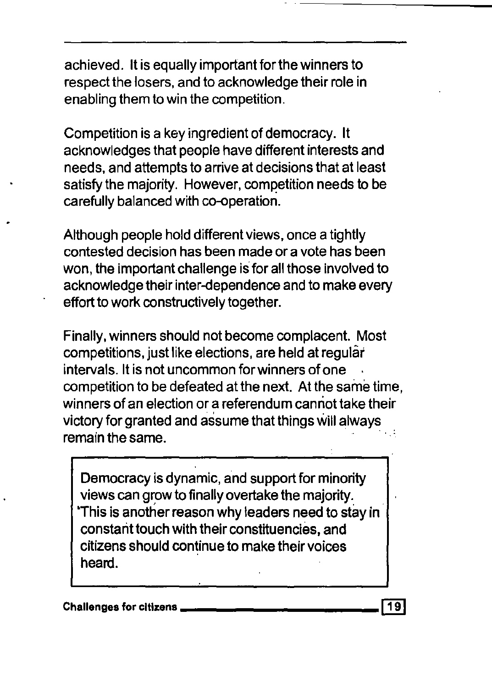achieved. It is equally important for the winners to respect the losers, and to acknowledge their role in enabling them to win the competition.

Competition is a key ingredient of democracy. It acknowledges that people have different interests and needs, and attempts to arrive at decisions that at least satisfy the majority. However, competition needs to be carefully balanced with co-operation.

Although people hold different views, once a tightly contested decision has been made or a vote has been won, the important challenge is for all those involved to acknowledge their inter-dependence and to make every effort to work constructively together.

Finally, winners should not become complacent. Most competitions, just like elections, are held at regular intervals. It is not uncommon for winners of one. competition to be defeated at the next. At the same time, winners of an election or a referendum cannot take their victory for granted and assume that things will always remain the same.

Democracy is dynamic, and support for minority views can grow to finally overtake the majority. 'This is another reason why leaders need to stay in . constant touch with their constituencies, and citizens should continue to make their voices heard.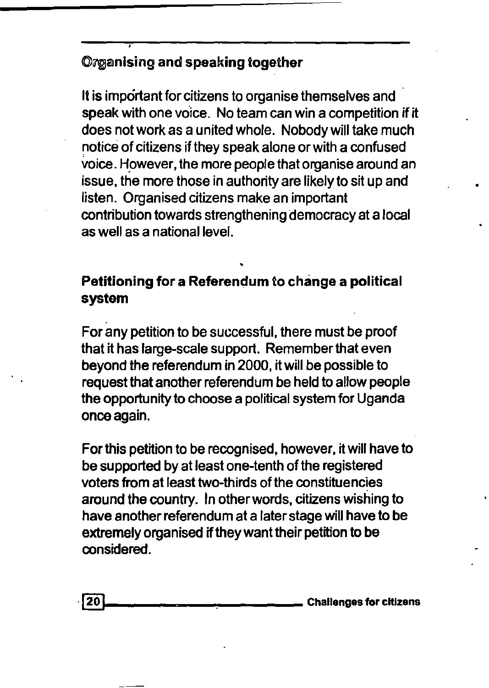### Organising and speaking together

It is important for citizens to organise themselves and speak with one voice. No team can win a competition if it does not work as a united whole. Nobody will take much notice of citizens if they speak alone or with a confused Voice. However, the more people that organise around an issue, the more those in authority are likely to sit up and listen. Organised citizens make an important contribution towards strengthening democracy at a local as well as a national level.

### Petitioning for a Referendum to change a political system

For any petition to be successful, there must be proof that it has large-scale support. Remember that even beyond the referendum in 2000, it will be possible to request that another referendum be held to allow people the opportunity to choose a political system for Uganda once again.

For this petition to be recognised, however, it will have to be supported by at least one-tenth of the registered voters from at least two-thirds of the constituencies around the country. In other words, citizens wishing to have another referendum at a later stage will have to be extremely organised if they want their petition to be considered.

20  $\sim$  Challenges for citizens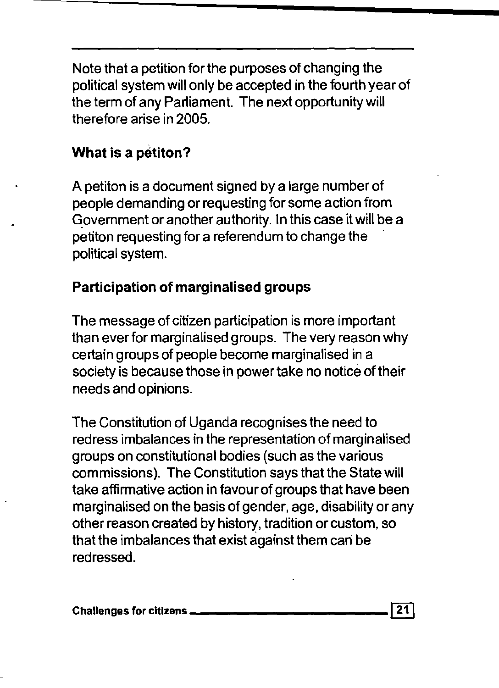Note that a petition for the purposes of changing the political system will only be accepted in the fourth year of the term of any Parliament. The next opportunity will therefore arise in 2005.

### **What** is a petiton?

A petiton is a document signed by a large number of people demanding or requesting for some action from Govemment or another authority. In this case it will be a petiton requesting for a referendum to change the political system.

### Participation of marginalised groups

The message of citizen participation is more important than ever for marginalised groups. The very reason why certain groups of people become marginalised in a society is because those in power take no notice of their needs and opinions.

The Constitution of Uganda recognises the need to redress imbalances in the representation of marginalised groups on constitutional bodies (such as the various commissions). The Constitution says that the State will take affirmative action in favour of groups that have been marginalised on the basis of gender, age, disability or any other reason created by history, tradition or custom, so that the imbalances that exist against them can be redressed.

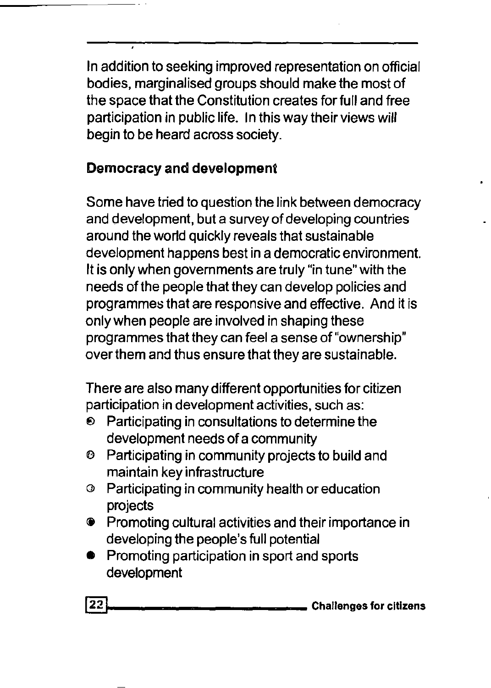In addition to seeking improved representation on official bodies, marginalised groups should make the most of the space that the Constitution creates for full and free participation in public life. In this way their views will begin to be heard across society.

### Democracy and development

Some have tried to question the link between democracy and development, but a survey of developing countries around the world quickly reveals that sustainable development happens best in a democratic environment. It is only when governments are truly "in tune" with the needs of the people that they can develop policies and programmes that are responsive and effective. And it is only when people are involved in shaping these programmes that they can feel a sense of "ownership" over them and thus ensure that they are sustainable.

There are also many different opportunities for citizen participation in development activities, such as:

- $\odot$  Participating in consultations to determine the development needs of a community
- (') Participating in community projects to build and maintain key infrastructure
- *C!>* Participating in community health or education projects
- <sup>~</sup>Promoting cultural activities and their importance in developing the people's full potential
- Promoting participation in sport and sports development

**IEJ------------** Challenges for citizens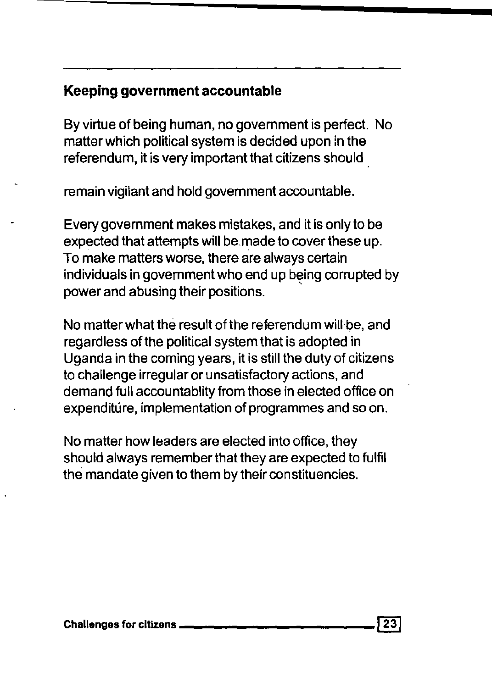### **Keeping government accountable**

By virtue of being human, no govemment is perfect. No matter which political system is decided upon in the referendum, it is very important that citizens should.

remain vigilant and hold govemment accountable.

Every govemment makes mistakes, and it is only to be expected that attempts will be.made to cover these up. To make matters worse, there are always certain individuals in govemment who end up being corrupted by power and abusing their positions. •

No matter what the result of the referendum will be, and regardless of the political system that is adopted in Uganda in the coming years, it is still the duty of citizens to challenge irregular or unsatisfactory actions, and demand full accountablity from those in elected office on expenditure, implementation of programmes and so on.

No matter how leaders are elected into office, they should always remember that they are expected to fulfil the mandate given to them by their constituencies.